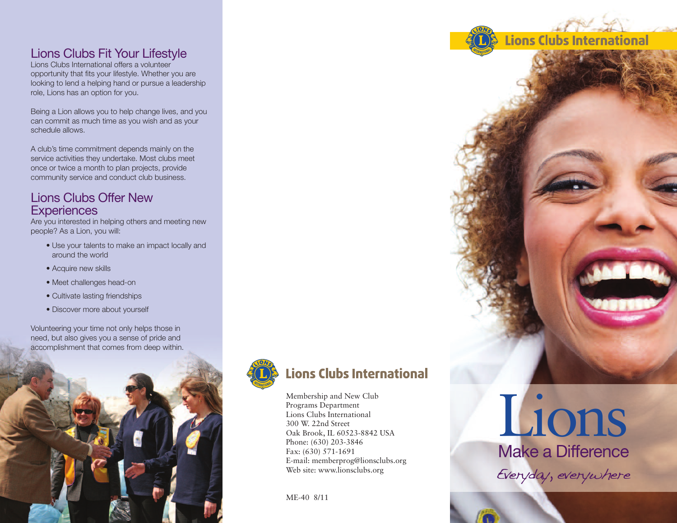### Lions Clubs Fit Your Lifestyle

Lions Clubs International offers a volunteer opportunity that fits your lifestyle. Whether you are looking to lend a helping hand or pursue a leadership role, Lions has an option for you.

Being a Lion allows you to help change lives, and you can commit as much time as you wish and as your schedule allows.

A club's time commitment depends mainly on the service activities they undertake. Most clubs meet once or twice a month to plan projects, provide community service and conduct club business.

#### Lions Clubs Offer New **Experiences**

Are you interested in helping others and meeting new people? As a Lion, you will:

- Use your talents to make an impact locally and around the world
- Acquire new skills
- Meet challenges head-on
- Cultivate lasting friendships
- Discover more about yourself

Volunteering your time not only helps those in need, but also gives you a sense of pride and accomplishment that comes from deep within.





## **Lions Clubs International**

Membership and New Club Programs Department Lions Clubs International 300 W. 22nd Street Oak Brook, IL 60523-8842 USA Phone: (630) 203-3846 Fax: (630) 571-1691 E-mail: memberprog@lionsclubs.org Web site: www.lionsclubs.org

ME-40 8/11

# Lions Make a Difference Everyday, everywhere

**Lions Clubs International**